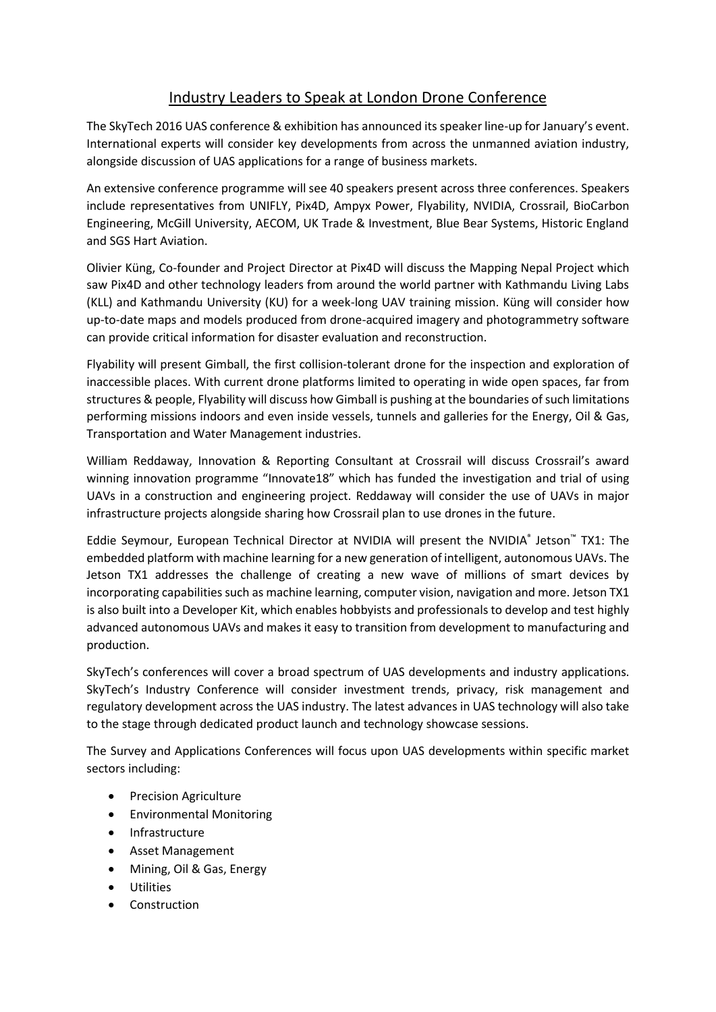## Industry Leaders to Speak at London Drone Conference

The SkyTech 2016 UAS conference & exhibition has announced its speaker line-up for January's event. International experts will consider key developments from across the unmanned aviation industry, alongside discussion of UAS applications for a range of business markets.

An extensive conference programme will see 40 speakers present across three conferences. Speakers include representatives from UNIFLY, Pix4D, Ampyx Power, Flyability, NVIDIA, Crossrail, BioCarbon Engineering, McGill University, AECOM, UK Trade & Investment, Blue Bear Systems, Historic England and SGS Hart Aviation.

Olivier Küng, Co-founder and Project Director at Pix4D will discuss the Mapping Nepal Project which saw Pix4D and other technology leaders from around the world partner with Kathmandu Living Labs (KLL) and Kathmandu University (KU) for a week-long UAV training mission. Küng will consider how up-to-date maps and models produced from drone-acquired imagery and photogrammetry software can provide critical information for disaster evaluation and reconstruction.

Flyability will present Gimball, the first collision-tolerant drone for the inspection and exploration of inaccessible places. With current drone platforms limited to operating in wide open spaces, far from structures & people, Flyability will discuss how Gimball is pushing at the boundaries of such limitations performing missions indoors and even inside vessels, tunnels and galleries for the Energy, Oil & Gas, Transportation and Water Management industries.

William Reddaway, Innovation & Reporting Consultant at Crossrail will discuss Crossrail's award winning innovation programme "Innovate18" which has funded the investigation and trial of using UAVs in a construction and engineering project. Reddaway will consider the use of UAVs in major infrastructure projects alongside sharing how Crossrail plan to use drones in the future.

Eddie Seymour, European Technical Director at NVIDIA will present the NVIDIA® Jetson™ TX1: The embedded platform with machine learning for a new generation of intelligent, autonomous UAVs. The Jetson TX1 addresses the challenge of creating a new wave of millions of smart devices by incorporating capabilities such as machine learning, computer vision, navigation and more. Jetson TX1 is also built into a Developer Kit, which enables hobbyists and professionals to develop and test highly advanced autonomous UAVs and makes it easy to transition from development to manufacturing and production.

SkyTech's conferences will cover a broad spectrum of UAS developments and industry applications. SkyTech's Industry Conference will consider investment trends, privacy, risk management and regulatory development across the UAS industry. The latest advances in UAS technology will also take to the stage through dedicated product launch and technology showcase sessions.

The Survey and Applications Conferences will focus upon UAS developments within specific market sectors including:

- **•** Precision Agriculture
- Environmental Monitoring
- Infrastructure
- Asset Management
- Mining, Oil & Gas, Energy
- **Utilities**
- Construction